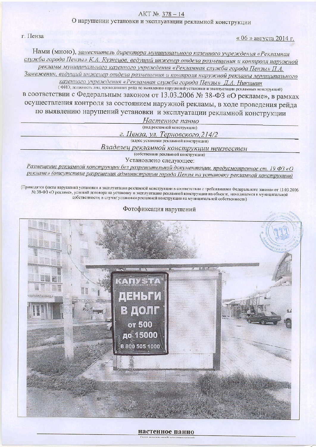## AKT №. 378 - 14

О нарушении установки и эксплуатации рекламной конструкции

г. Пенза

« 06 » августа 2014 г.

Нами (мною), заместитель директора муниципального казенного учреждения «Рекламная служба города Пензы» К.А. Кузнецов, ведущий инженер отдела размещения и контроля наружной рекламы муниципального казенного учреждения «Рекламная служба города Пензы» П.А. Замеженин, ведущий инженер отдела размещения и контроля наружной рекламы муниципального

казенного учреждения «Рекламная служба города Пензы» Д.А. Никишин (ФИО, должность лиц, проводивших рейд по выявлению нарушений установки и эксплуатации рекламных конструкций)

в соответствии с Федеральным законом от 13.03.2006 № 38-ФЗ «О рекламе», в рамках осуществления контроля за состоянием наружной рекламы, в ходе проведения рейда по выявлению нарушений установки и эксплуатации рекламной конструкции

> Настенное панно (вид рекламной конструкции)

г. Пенза, ул. Терновского, 214/2

(адрес установки рекламной конструкции)

Владелец рекламной конструкции неизвестен

(собственник рекламной конструкции)

Установлено следующее:

Размещение рекламной конструкции без разрешительной документации, предусмотренное ст. 19 ФЗ «О рекламе» (отсутствие разрешения администрации города Пензы на установку рекламной конструкции)

(Приводятся факты нарушений установки и эксплуатации рекламной конструкции в соответствии с требованиями Федерального закона» от 13.03.2006 ле 38-ФЗ «О рекламе», условий договора на установку и эксплуатацию рекламной конструкции на объекте, находящемся в муниципальной собственности, в случае установки рекламной конструкции на муниципальной собственности)

## Фотофиксация нарушений



## настенное панно